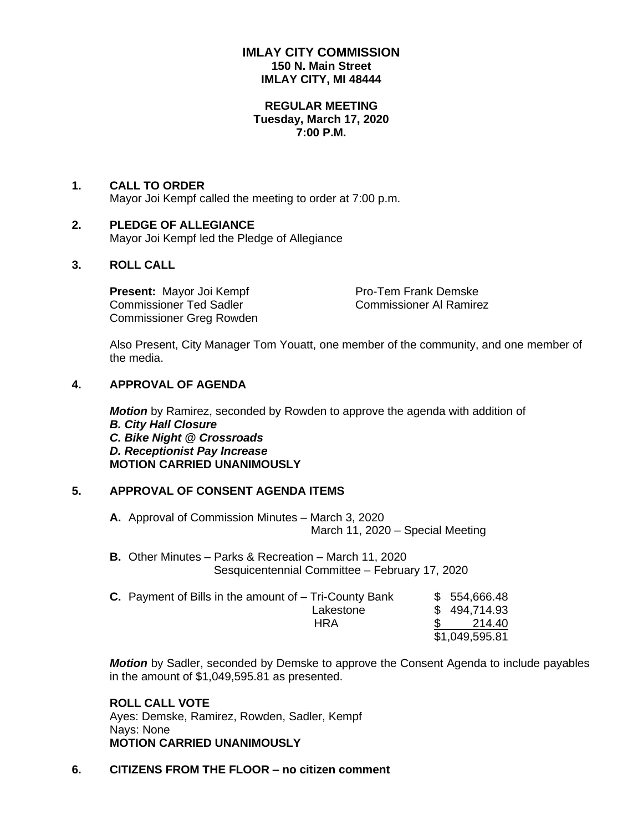# **IMLAY CITY COMMISSION 150 N. Main Street IMLAY CITY, MI 48444**

#### **REGULAR MEETING Tuesday, March 17, 2020 7:00 P.M.**

# **1. CALL TO ORDER**

Mayor Joi Kempf called the meeting to order at 7:00 p.m.

## **2. PLEDGE OF ALLEGIANCE**

Mayor Joi Kempf led the Pledge of Allegiance

## **3. ROLL CALL**

**Present:** Mayor Joi Kempf Pro-Tem Frank Demske Commissioner Ted Sadler Commissioner Al Ramirez Commissioner Greg Rowden

Also Present, City Manager Tom Youatt, one member of the community, and one member of the media.

## **4. APPROVAL OF AGENDA**

*Motion* by Ramirez, seconded by Rowden to approve the agenda with addition of *B. City Hall Closure C. Bike Night @ Crossroads D. Receptionist Pay Increase* **MOTION CARRIED UNANIMOUSLY**

# **5. APPROVAL OF CONSENT AGENDA ITEMS**

**A.** Approval of Commission Minutes – March 3, 2020 March 11, 2020 – Special Meeting

**B.** Other Minutes – Parks & Recreation – March 11, 2020 Sesquicentennial Committee – February 17, 2020

| <b>C.</b> Payment of Bills in the amount of $-$ Tri-County Bank | \$554,666.48   |  |
|-----------------------------------------------------------------|----------------|--|
| Lakestone                                                       | \$494,714.93   |  |
| HRA                                                             | 214.40         |  |
|                                                                 | \$1,049,595.81 |  |

*Motion* by Sadler, seconded by Demske to approve the Consent Agenda to include payables in the amount of \$1,049,595.81 as presented.

# **ROLL CALL VOTE**

Ayes: Demske, Ramirez, Rowden, Sadler, Kempf Nays: None **MOTION CARRIED UNANIMOUSLY**

## **6. CITIZENS FROM THE FLOOR – no citizen comment**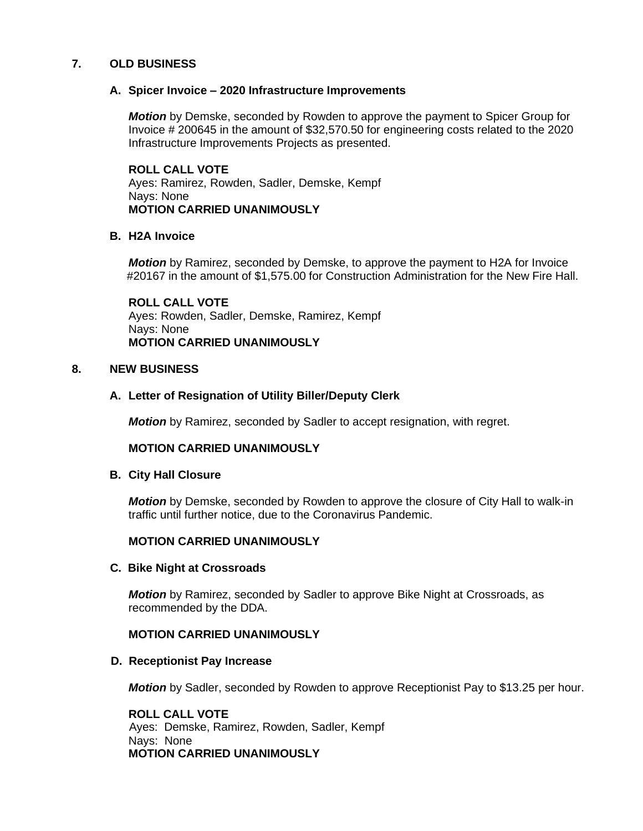## **7. OLD BUSINESS**

## **A. Spicer Invoice – 2020 Infrastructure Improvements**

*Motion* by Demske, seconded by Rowden to approve the payment to Spicer Group for Invoice # 200645 in the amount of \$32,570.50 for engineering costs related to the 2020 Infrastructure Improvements Projects as presented.

**ROLL CALL VOTE** Ayes: Ramirez, Rowden, Sadler, Demske, Kempf Nays: None **MOTION CARRIED UNANIMOUSLY**

## **B. H2A Invoice**

*Motion* by Ramirez, seconded by Demske, to approve the payment to H2A for Invoice #20167 in the amount of \$1,575.00 for Construction Administration for the New Fire Hall.

**ROLL CALL VOTE** Ayes: Rowden, Sadler, Demske, Ramirez, Kempf Nays: None **MOTION CARRIED UNANIMOUSLY**

## **8. NEW BUSINESS**

## **A. Letter of Resignation of Utility Biller/Deputy Clerk**

*Motion* by Ramirez, seconded by Sadler to accept resignation, with regret.

## **MOTION CARRIED UNANIMOUSLY**

## **B. City Hall Closure**

*Motion* by Demske, seconded by Rowden to approve the closure of City Hall to walk-in traffic until further notice, due to the Coronavirus Pandemic.

# **MOTION CARRIED UNANIMOUSLY**

## **C. Bike Night at Crossroads**

*Motion* by Ramirez, seconded by Sadler to approve Bike Night at Crossroads, as recommended by the DDA.

## **MOTION CARRIED UNANIMOUSLY**

## **D. Receptionist Pay Increase**

*Motion* by Sadler, seconded by Rowden to approve Receptionist Pay to \$13.25 per hour.

**ROLL CALL VOTE** Ayes: Demske, Ramirez, Rowden, Sadler, Kempf Nays: None **MOTION CARRIED UNANIMOUSLY**